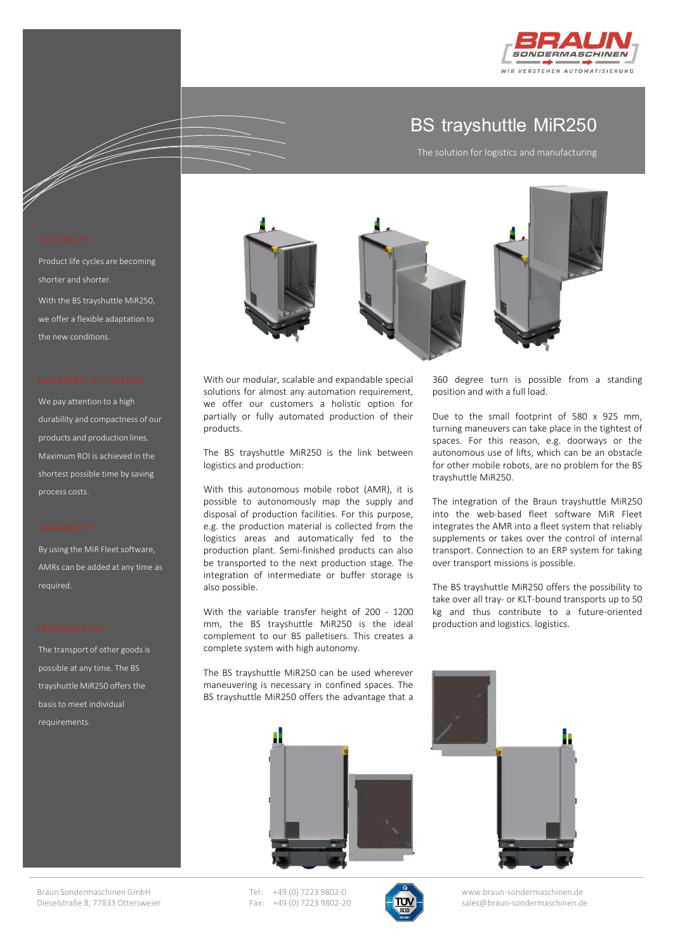

## **BS trayshuttle MiR250**

The solution for logistics and manufacturing

360 degree turn is possible from a standing

Due to the small footprint of 580 x 925 mm, turning maneuvers can take place in the tightest of spaces. For this reason, e.g. doorways or the autonomous use of lifts, which can be an obstacle for other mobile robots, are no problem for the BS

The integration of the Braun trayshuttle MiR250 into the web-based fleet software MiR Fleet integrates the AMR into a fleet system that reliably supplements or takes over the control of internal transport. Connection to an ERP system for taking

The BS trayshuttle MiR250 offers the possibility to take over all tray- or KLT-bound transports up to 50 kg and thus contribute to a future-oriented

over transport missions is possible.

production and logistics. logistics.

position and with a full load.

trayshuttle MiR250.

e de la filme de la filme de la filme de la filme de la filme de la filme de la filme de la filme de la filme <br>Original de la filme de la filme de la filme de la filme de la filme de la filme de la filme de la filme de la

Product life cycles are becoming shorter and shorter. With the BS trayshuttle MiR250, we offer a flexible adaptation to the new conditions.

We pay attention to a high durability and compactness of our products and production lines. Maximum ROI is achieved in the shortest possible time by saving process costs.

By using the MiR Fleet software, AMRs can be added at any time as required.

The transport of other goods is possible at any time. The BS trayshuttle MiR250 offers the basis to meet individual requirements.



With our modular, scalable and expandable special solutions for almost any automation requirement, we offer our customers a holistic option for partially or fully automated production of their products.

The BS trayshuttle MiR250 is the link between logistics and production:

With this autonomous mobile robot (AMR), it is possible to autonomously map the supply and disposal of production facilities. For this purpose, e.g. the production material is collected from the logistics areas and automatically fed to the production plant. Semi-finished products can also be transported to the next production stage. The integration of intermediate or buffer storage is also possible.

With the variable transfer height of 200 - 1200 mm, the BS trayshuttle MiR250 is the ideal complement to our BS palletisers. This creates a complete system with high autonomy.

The BS trayshuttle MiR250 can be used wherever maneuvering is necessary in confined spaces. The BS trayshuttle MiR250 offers the advantage that a





Tel: +49 (0) 7223 9802-0 Fax: +49 (0) 7223 9802-20

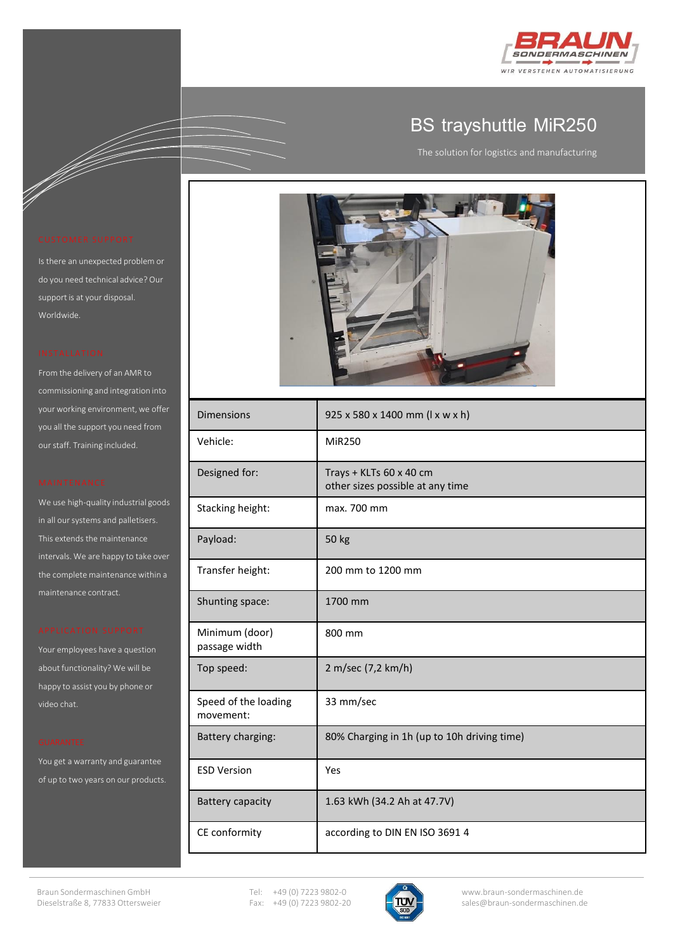

## **BS trayshuttle MiR250**

The solution for logistics and manufacturing

a dheer is aan dhe

Is there an unexpected problem or do you need technical advice? Our support is at your disposal. Worldwide.

From the delivery of an AMR to commissioning and integration into your working environment, we offer you all the support you need from our staff. Training included.

We use high-quality industrial goods in all our systems and palletisers. This extends the maintenance intervals. We are happy to take over the complete maintenance within a maintenance contract.

Your employees have a question about functionality? We will be happy to assist you by phone or video chat.

You get a warranty and guarantee of up to two years on our products.



| <b>Dimensions</b>                 | 925 x 580 x 1400 mm (1 x w x h)                             |
|-----------------------------------|-------------------------------------------------------------|
| Vehicle:                          | MiR250                                                      |
| Designed for:                     | Trays + KLTs 60 x 40 cm<br>other sizes possible at any time |
| Stacking height:                  | max. 700 mm                                                 |
| Payload:                          | 50 kg                                                       |
| Transfer height:                  | 200 mm to 1200 mm                                           |
| Shunting space:                   | 1700 mm                                                     |
| Minimum (door)<br>passage width   | 800 mm                                                      |
| Top speed:                        | 2 m/sec (7,2 km/h)                                          |
| Speed of the loading<br>movement: | 33 mm/sec                                                   |
| Battery charging:                 | 80% Charging in 1h (up to 10h driving time)                 |
| <b>ESD Version</b>                | Yes                                                         |
| <b>Battery capacity</b>           | 1.63 kWh (34.2 Ah at 47.7V)                                 |
| CE conformity                     | according to DIN EN ISO 3691 4                              |

Tel: +49 (0) 7223 9802-0 Fax: +49 (0) 7223 9802-20

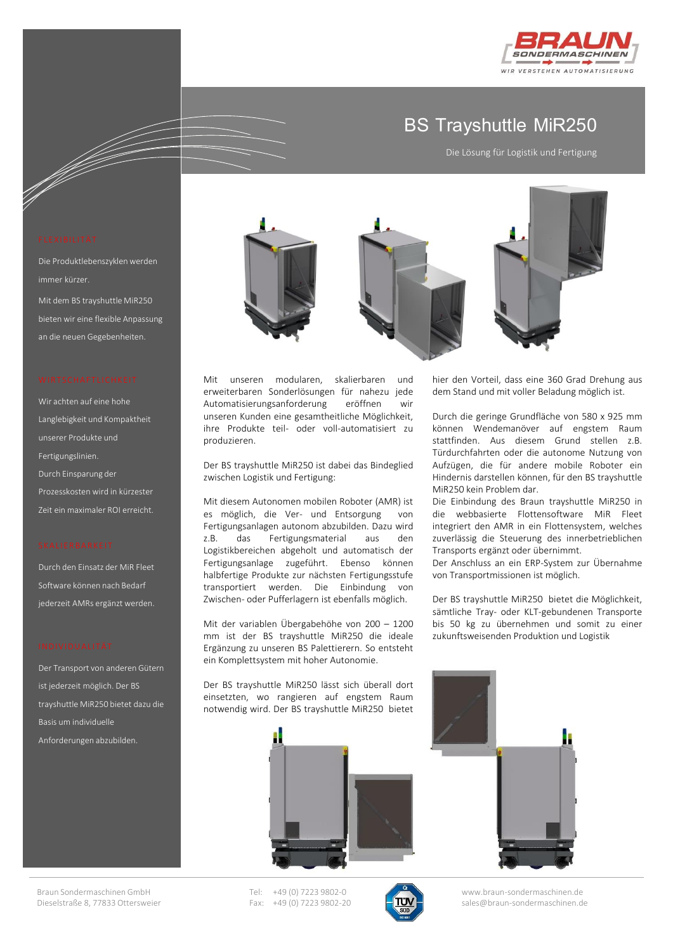

## **BS Trayshuttle MiR250**

Die Lösung für Logistik und Fertigung

hier den Vorteil, dass eine 360 Grad Drehung aus dem Stand und mit voller Beladung möglich ist.

Durch die geringe Grundfläche von 580 x 925 mm können Wendemanöver auf engstem Raum stattfinden. Aus diesem Grund stellen z.B. Türdurchfahrten oder die autonome Nutzung von Aufzügen, die für andere mobile Roboter ein Hindernis darstellen können, für den BS trayshuttle

Die Einbindung des Braun trayshuttle MiR250 in die webbasierte Flottensoftware MiR Fleet integriert den AMR in ein Flottensystem, welches zuverlässig die Steuerung des innerbetrieblichen

Der Anschluss an ein ERP-System zur Übernahme

Der BS trayshuttle MiR250 bietet die Möglichkeit, sämtliche Tray- oder KLT-gebundenen Transporte bis 50 kg zu übernehmen und somit zu einer zukunftsweisenden Produktion und Logistik

MiR250 kein Problem dar.

Transports ergänzt oder übernimmt.

von Transportmissionen ist möglich.

e de la filme de la filme de la filme de la filme de la filme de la filme de la filme de la filme de la filme <br>Original de la filme de la filme de la filme de la filme de la filme de la filme de la filme de la filme de la

Die Produktlebenszyklen werden immer kürzer. Mit dem BS trayshuttle MiR250 bieten wir eine flexible Anpassung an die neuen Gegebenheiten.

Wir achten auf eine hohe Langlebigkeit und Kompaktheit unserer Produkte und Fertigungslinien. Durch Einsparung der Prozesskosten wird in kürzester Zeit ein maximaler ROI erreicht.

Durch den Einsatz der MiR Fleet Software können nach Bedarf jederzeit AMRs ergänzt werden.

Der Transport von anderen Gütern ist jederzeit möglich. Der BS trayshuttle MiR250 bietet dazu die Basis um individuelle Anforderungen abzubilden.



Mit unseren modularen, skalierbaren und erweiterbaren Sonderlösungen für nahezu jede Automatisierungsanforderung eröffnen wir unseren Kunden eine gesamtheitliche Möglichkeit, ihre Produkte teil- oder voll-automatisiert zu produzieren.

Der BS trayshuttle MiR250 ist dabei das Bindeglied zwischen Logistik und Fertigung:

Mit diesem Autonomen mobilen Roboter (AMR) ist es möglich, die Ver- und Entsorgung von Fertigungsanlagen autonom abzubilden. Dazu wird z.B. das Fertigungsmaterial aus den Logistikbereichen abgeholt und automatisch der Fertigungsanlage zugeführt. Ebenso können halbfertige Produkte zur nächsten Fertigungsstufe transportiert werden. Die Einbindung von Zwischen- oder Pufferlagern ist ebenfalls möglich.

Mit der variablen Übergabehöhe von 200 – 1200 mm ist der BS trayshuttle MiR250 die ideale Ergänzung zu unseren BS Palettierern. So entsteht ein Komplettsystem mit hoher Autonomie.

Der BS trayshuttle MiR250 lässt sich überall dort einsetzten, wo rangieren auf engstem Raum notwendig wird. Der BS trayshuttle MiR250 bietet





Tel: +49 (0) 7223 9802-0 Fax: +49 (0) 7223 9802-20